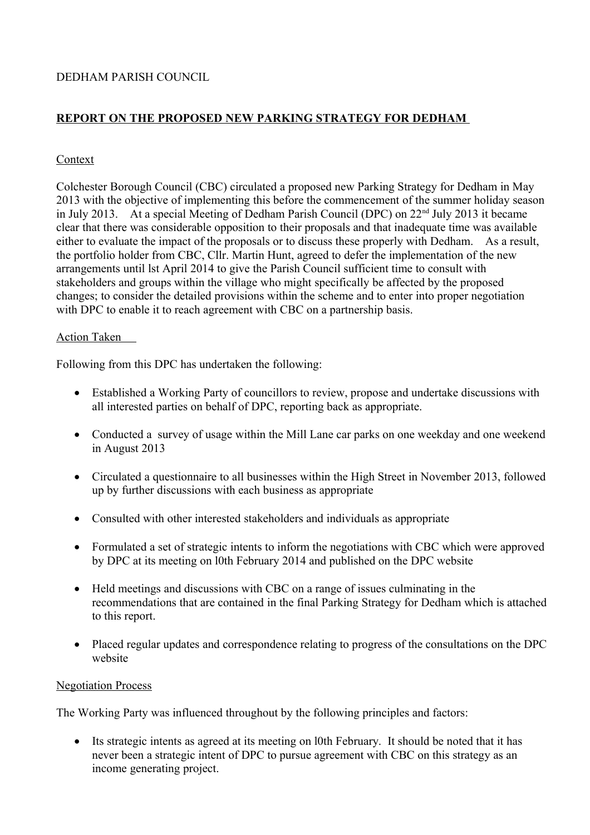# DEDHAM PARISH COUNCIL

# **REPORT ON THE PROPOSED NEW PARKING STRATEGY FOR DEDHAM**

### Context

Colchester Borough Council (CBC) circulated a proposed new Parking Strategy for Dedham in May 2013 with the objective of implementing this before the commencement of the summer holiday season in July 2013. At a special Meeting of Dedham Parish Council (DPC) on 22nd July 2013 it became clear that there was considerable opposition to their proposals and that inadequate time was available either to evaluate the impact of the proposals or to discuss these properly with Dedham. As a result, the portfolio holder from CBC, Cllr. Martin Hunt, agreed to defer the implementation of the new arrangements until lst April 2014 to give the Parish Council sufficient time to consult with stakeholders and groups within the village who might specifically be affected by the proposed changes; to consider the detailed provisions within the scheme and to enter into proper negotiation with DPC to enable it to reach agreement with CBC on a partnership basis.

### Action Taken

Following from this DPC has undertaken the following:

- Established a Working Party of councillors to review, propose and undertake discussions with all interested parties on behalf of DPC, reporting back as appropriate.
- Conducted a survey of usage within the Mill Lane car parks on one weekday and one weekend in August 2013
- Circulated a questionnaire to all businesses within the High Street in November 2013, followed up by further discussions with each business as appropriate
- Consulted with other interested stakeholders and individuals as appropriate
- Formulated a set of strategic intents to inform the negotiations with CBC which were approved by DPC at its meeting on l0th February 2014 and published on the DPC website
- Held meetings and discussions with CBC on a range of issues culminating in the recommendations that are contained in the final Parking Strategy for Dedham which is attached to this report.
- Placed regular updates and correspondence relating to progress of the consultations on the DPC website

#### Negotiation Process

The Working Party was influenced throughout by the following principles and factors:

 Its strategic intents as agreed at its meeting on l0th February. It should be noted that it has never been a strategic intent of DPC to pursue agreement with CBC on this strategy as an income generating project.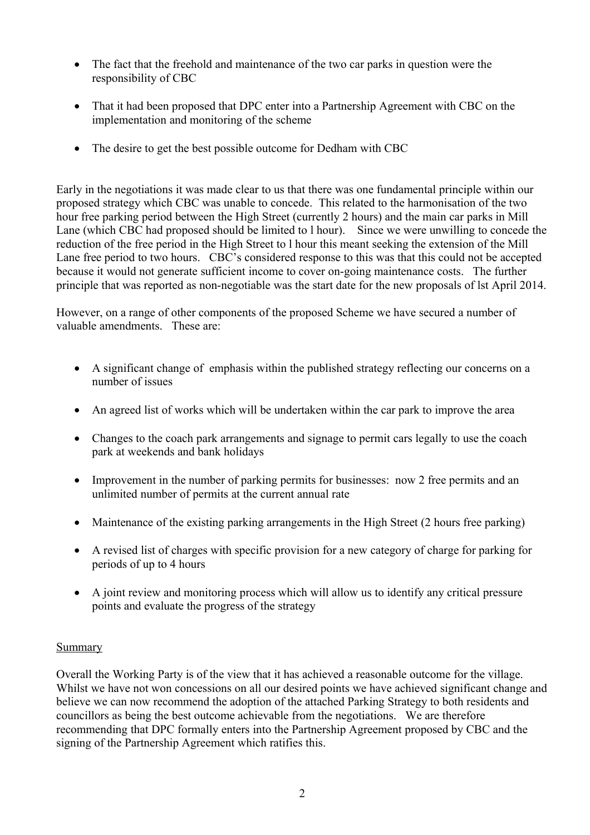- The fact that the freehold and maintenance of the two car parks in question were the responsibility of CBC
- That it had been proposed that DPC enter into a Partnership Agreement with CBC on the implementation and monitoring of the scheme
- The desire to get the best possible outcome for Dedham with CBC

Early in the negotiations it was made clear to us that there was one fundamental principle within our proposed strategy which CBC was unable to concede. This related to the harmonisation of the two hour free parking period between the High Street (currently 2 hours) and the main car parks in Mill Lane (which CBC had proposed should be limited to l hour). Since we were unwilling to concede the reduction of the free period in the High Street to l hour this meant seeking the extension of the Mill Lane free period to two hours. CBC's considered response to this was that this could not be accepted because it would not generate sufficient income to cover on-going maintenance costs. The further principle that was reported as non-negotiable was the start date for the new proposals of lst April 2014.

However, on a range of other components of the proposed Scheme we have secured a number of valuable amendments. These are:

- A significant change of emphasis within the published strategy reflecting our concerns on a number of issues
- An agreed list of works which will be undertaken within the car park to improve the area
- Changes to the coach park arrangements and signage to permit cars legally to use the coach park at weekends and bank holidays
- Improvement in the number of parking permits for businesses: now 2 free permits and an unlimited number of permits at the current annual rate
- Maintenance of the existing parking arrangements in the High Street (2 hours free parking)
- A revised list of charges with specific provision for a new category of charge for parking for periods of up to 4 hours
- A joint review and monitoring process which will allow us to identify any critical pressure points and evaluate the progress of the strategy

## **Summary**

Overall the Working Party is of the view that it has achieved a reasonable outcome for the village. Whilst we have not won concessions on all our desired points we have achieved significant change and believe we can now recommend the adoption of the attached Parking Strategy to both residents and councillors as being the best outcome achievable from the negotiations. We are therefore recommending that DPC formally enters into the Partnership Agreement proposed by CBC and the signing of the Partnership Agreement which ratifies this.